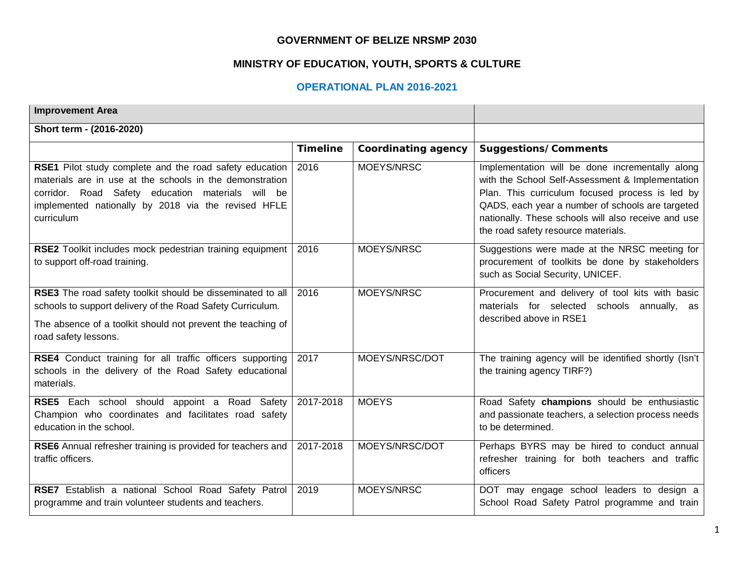#### **GOVERNMENT OF BELIZE NRSMP 2030**

### **MINISTRY OF EDUCATION, YOUTH, SPORTS & CULTURE**

### **OPERATIONAL PLAN 2016-2021**

| <b>Improvement Area</b>                                                                                                                                                                                                                       |                 |                            |                                                                                                                                                                                                                                                                                                          |
|-----------------------------------------------------------------------------------------------------------------------------------------------------------------------------------------------------------------------------------------------|-----------------|----------------------------|----------------------------------------------------------------------------------------------------------------------------------------------------------------------------------------------------------------------------------------------------------------------------------------------------------|
| Short term - (2016-2020)                                                                                                                                                                                                                      |                 |                            |                                                                                                                                                                                                                                                                                                          |
|                                                                                                                                                                                                                                               | <b>Timeline</b> | <b>Coordinating agency</b> | <b>Suggestions/Comments</b>                                                                                                                                                                                                                                                                              |
| RSE1 Pilot study complete and the road safety education<br>materials are in use at the schools in the demonstration<br>corridor. Road Safety education materials will be<br>implemented nationally by 2018 via the revised HFLE<br>curriculum | 2016            | MOEYS/NRSC                 | Implementation will be done incrementally along<br>with the School Self-Assessment & Implementation<br>Plan. This curriculum focused process is led by<br>QADS, each year a number of schools are targeted<br>nationally. These schools will also receive and use<br>the road safety resource materials. |
| RSE2 Toolkit includes mock pedestrian training equipment<br>to support off-road training.                                                                                                                                                     | 2016            | MOEYS/NRSC                 | Suggestions were made at the NRSC meeting for<br>procurement of toolkits be done by stakeholders<br>such as Social Security, UNICEF.                                                                                                                                                                     |
| RSE3 The road safety toolkit should be disseminated to all<br>schools to support delivery of the Road Safety Curriculum.<br>The absence of a toolkit should not prevent the teaching of<br>road safety lessons.                               | 2016            | MOEYS/NRSC                 | Procurement and delivery of tool kits with basic<br>materials for selected schools annually, as<br>described above in RSE1                                                                                                                                                                               |
| RSE4 Conduct training for all traffic officers supporting<br>schools in the delivery of the Road Safety educational<br>materials.                                                                                                             | 2017            | MOEYS/NRSC/DOT             | The training agency will be identified shortly (Isn't<br>the training agency TIRF?)                                                                                                                                                                                                                      |
| RSE5 Each school should appoint a Road Safety<br>Champion who coordinates and facilitates road safety<br>education in the school.                                                                                                             | 2017-2018       | <b>MOEYS</b>               | Road Safety champions should be enthusiastic<br>and passionate teachers, a selection process needs<br>to be determined.                                                                                                                                                                                  |
| RSE6 Annual refresher training is provided for teachers and<br>traffic officers.                                                                                                                                                              | 2017-2018       | MOEYS/NRSC/DOT             | Perhaps BYRS may be hired to conduct annual<br>refresher training for both teachers and traffic<br>officers                                                                                                                                                                                              |
| RSE7 Establish a national School Road Safety Patrol<br>programme and train volunteer students and teachers.                                                                                                                                   | 2019            | MOEYS/NRSC                 | DOT may engage school leaders to design a<br>School Road Safety Patrol programme and train                                                                                                                                                                                                               |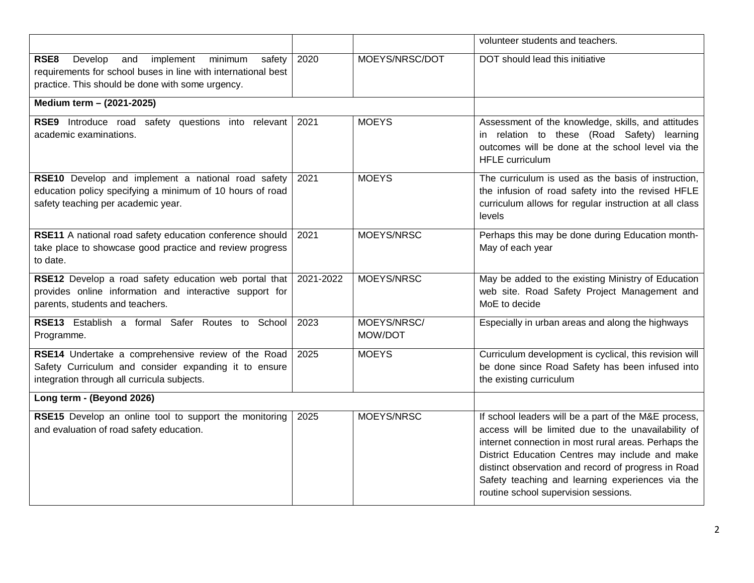|                                                                                                                                                                               |           |                        | volunteer students and teachers.                                                                                                                                                                                                                                                                                                                                          |
|-------------------------------------------------------------------------------------------------------------------------------------------------------------------------------|-----------|------------------------|---------------------------------------------------------------------------------------------------------------------------------------------------------------------------------------------------------------------------------------------------------------------------------------------------------------------------------------------------------------------------|
| RSE8<br>Develop<br>implement<br>minimum<br>safety<br>and<br>requirements for school buses in line with international best<br>practice. This should be done with some urgency. | 2020      | MOEYS/NRSC/DOT         | DOT should lead this initiative                                                                                                                                                                                                                                                                                                                                           |
| Medium term - (2021-2025)                                                                                                                                                     |           |                        |                                                                                                                                                                                                                                                                                                                                                                           |
| RSE9 Introduce road safety questions into relevant<br>academic examinations.                                                                                                  | 2021      | <b>MOEYS</b>           | Assessment of the knowledge, skills, and attitudes<br>in relation to these (Road Safety) learning<br>outcomes will be done at the school level via the<br>HFLE curriculum                                                                                                                                                                                                 |
| RSE10 Develop and implement a national road safety<br>education policy specifying a minimum of 10 hours of road<br>safety teaching per academic year.                         | 2021      | <b>MOEYS</b>           | The curriculum is used as the basis of instruction,<br>the infusion of road safety into the revised HFLE<br>curriculum allows for regular instruction at all class<br>levels                                                                                                                                                                                              |
| RSE11 A national road safety education conference should<br>take place to showcase good practice and review progress<br>to date.                                              | 2021      | MOEYS/NRSC             | Perhaps this may be done during Education month-<br>May of each year                                                                                                                                                                                                                                                                                                      |
| RSE12 Develop a road safety education web portal that<br>provides online information and interactive support for<br>parents, students and teachers.                           | 2021-2022 | MOEYS/NRSC             | May be added to the existing Ministry of Education<br>web site. Road Safety Project Management and<br>MoE to decide                                                                                                                                                                                                                                                       |
| RSE13 Establish a formal Safer Routes to School<br>Programme.                                                                                                                 | 2023      | MOEYS/NRSC/<br>MOW/DOT | Especially in urban areas and along the highways                                                                                                                                                                                                                                                                                                                          |
| RSE14 Undertake a comprehensive review of the Road<br>Safety Curriculum and consider expanding it to ensure<br>integration through all curricula subjects.                    | 2025      | <b>MOEYS</b>           | Curriculum development is cyclical, this revision will<br>be done since Road Safety has been infused into<br>the existing curriculum                                                                                                                                                                                                                                      |
| Long term - (Beyond 2026)                                                                                                                                                     |           |                        |                                                                                                                                                                                                                                                                                                                                                                           |
| RSE15 Develop an online tool to support the monitoring<br>and evaluation of road safety education.                                                                            | 2025      | MOEYS/NRSC             | If school leaders will be a part of the M&E process,<br>access will be limited due to the unavailability of<br>internet connection in most rural areas. Perhaps the<br>District Education Centres may include and make<br>distinct observation and record of progress in Road<br>Safety teaching and learning experiences via the<br>routine school supervision sessions. |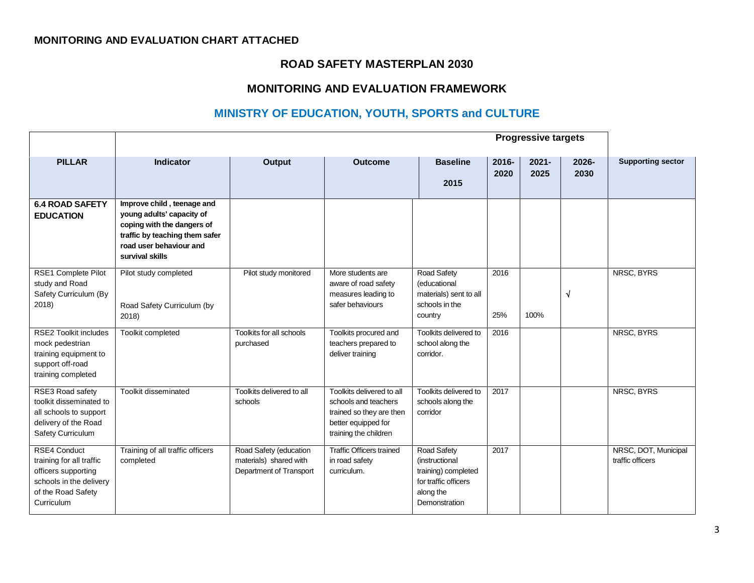### **MONITORING AND EVALUATION CHART ATTACHED**

### **ROAD SAFETY MASTERPLAN 2030**

# **MONITORING AND EVALUATION FRAMEWORK**

# **MINISTRY OF EDUCATION, YOUTH, SPORTS and CULTURE**

|                                                                                                                                       | <b>Progressive targets</b>                                                                                                                                            |                                                                             |                                                                                                                               |                                                                                                            |                  |                  |               |                                          |
|---------------------------------------------------------------------------------------------------------------------------------------|-----------------------------------------------------------------------------------------------------------------------------------------------------------------------|-----------------------------------------------------------------------------|-------------------------------------------------------------------------------------------------------------------------------|------------------------------------------------------------------------------------------------------------|------------------|------------------|---------------|------------------------------------------|
| <b>PILLAR</b>                                                                                                                         | Indicator                                                                                                                                                             | <b>Output</b>                                                               | <b>Outcome</b>                                                                                                                | <b>Baseline</b><br>2015                                                                                    | $2016 -$<br>2020 | $2021 -$<br>2025 | 2026-<br>2030 | <b>Supporting sector</b>                 |
| <b>6.4 ROAD SAFETY</b><br><b>EDUCATION</b>                                                                                            | Improve child, teenage and<br>young adults' capacity of<br>coping with the dangers of<br>traffic by teaching them safer<br>road user behaviour and<br>survival skills |                                                                             |                                                                                                                               |                                                                                                            |                  |                  |               |                                          |
| RSE1 Complete Pilot<br>study and Road<br>Safety Curriculum (By<br>2018)                                                               | Pilot study completed<br>Road Safety Curriculum (by<br>2018)                                                                                                          | Pilot study monitored                                                       | More students are<br>aware of road safety<br>measures leading to<br>safer behaviours                                          | Road Safety<br>(educational<br>materials) sent to all<br>schools in the<br>country                         | 2016<br>25%      | 100%             | N             | NRSC, BYRS                               |
| <b>RSE2 Toolkit includes</b><br>mock pedestrian<br>training equipment to<br>support off-road<br>training completed                    | Toolkit completed                                                                                                                                                     | Toolkits for all schools<br>purchased                                       | Toolkits procured and<br>teachers prepared to<br>deliver training                                                             | Toolkits delivered to<br>school along the<br>corridor.                                                     | 2016             |                  |               | NRSC, BYRS                               |
| RSE3 Road safety<br>toolkit disseminated to<br>all schools to support<br>delivery of the Road<br>Safety Curriculum                    | Toolkit disseminated                                                                                                                                                  | Toolkits delivered to all<br>schools                                        | Toolkits delivered to all<br>schools and teachers<br>trained so they are then<br>better equipped for<br>training the children | Toolkits delivered to<br>schools along the<br>corridor                                                     | 2017             |                  |               | NRSC, BYRS                               |
| <b>RSE4 Conduct</b><br>training for all traffic<br>officers supporting<br>schools in the delivery<br>of the Road Safety<br>Curriculum | Training of all traffic officers<br>completed                                                                                                                         | Road Safety (education<br>materials) shared with<br>Department of Transport | <b>Traffic Officers trained</b><br>in road safety<br>curriculum.                                                              | Road Safety<br>(instructional<br>training) completed<br>for traffic officers<br>along the<br>Demonstration | 2017             |                  |               | NRSC, DOT, Municipal<br>traffic officers |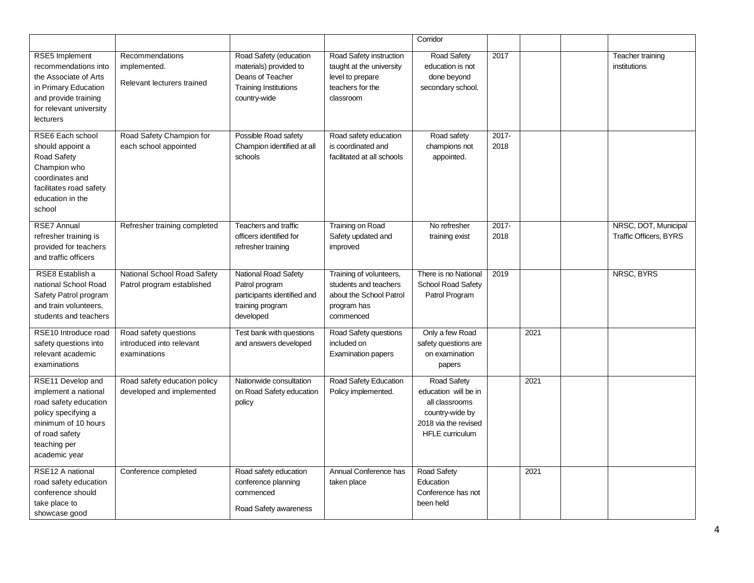|                                                                                                                                                                     |                                                                   |                                                                                                                      |                                                                                                          | Corridor                                                                                                            |               |      |                                                       |
|---------------------------------------------------------------------------------------------------------------------------------------------------------------------|-------------------------------------------------------------------|----------------------------------------------------------------------------------------------------------------------|----------------------------------------------------------------------------------------------------------|---------------------------------------------------------------------------------------------------------------------|---------------|------|-------------------------------------------------------|
| RSE5 Implement<br>recommendations into<br>the Associate of Arts<br>in Primary Education<br>and provide training<br>for relevant university<br><b>lecturers</b>      | Recommendations<br>implemented.<br>Relevant lecturers trained     | Road Safety (education<br>materials) provided to<br>Deans of Teacher<br><b>Training Institutions</b><br>country-wide | Road Safety instruction<br>taught at the university<br>level to prepare<br>teachers for the<br>classroom | Road Safety<br>education is not<br>done beyond<br>secondary school.                                                 | 2017          |      | Teacher training<br>institutions                      |
| RSE6 Each school<br>should appoint a<br>Road Safety<br>Champion who<br>coordinates and<br>facilitates road safety<br>education in the<br>school                     | Road Safety Champion for<br>each school appointed                 | Possible Road safety<br>Champion identified at all<br>schools                                                        | Road safety education<br>is coordinated and<br>facilitated at all schools                                | Road safety<br>champions not<br>appointed.                                                                          | 2017-<br>2018 |      |                                                       |
| RSE7 Annual<br>refresher training is<br>provided for teachers<br>and traffic officers                                                                               | Refresher training completed                                      | Teachers and traffic<br>officers identified for<br>refresher training                                                | <b>Training on Road</b><br>Safety updated and<br>improved                                                | No refresher<br>training exist                                                                                      | 2017-<br>2018 |      | NRSC, DOT, Municipal<br><b>Traffic Officers, BYRS</b> |
| RSE8 Establish a<br>national School Road<br>Safety Patrol program<br>and train volunteers,<br>students and teachers                                                 | National School Road Safety<br>Patrol program established         | <b>National Road Safety</b><br>Patrol program<br>participants identified and<br>training program<br>developed        | Training of volunteers,<br>students and teachers<br>about the School Patrol<br>program has<br>commenced  | There is no National<br>School Road Safety<br>Patrol Program                                                        | 2019          |      | NRSC, BYRS                                            |
| RSE10 Introduce road<br>safety questions into<br>relevant academic<br>examinations                                                                                  | Road safety questions<br>introduced into relevant<br>examinations | Test bank with questions<br>and answers developed                                                                    | Road Safety questions<br>included on<br><b>Examination papers</b>                                        | Only a few Road<br>safety questions are<br>on examination<br>papers                                                 |               | 2021 |                                                       |
| RSE11 Develop and<br>implement a national<br>road safety education<br>policy specifying a<br>minimum of 10 hours<br>of road safety<br>teaching per<br>academic year | Road safety education policy<br>developed and implemented         | Nationwide consultation<br>on Road Safety education<br>policy                                                        | Road Safety Education<br>Policy implemented.                                                             | Road Safety<br>education will be in<br>all classrooms<br>country-wide by<br>2018 via the revised<br>HFLE curriculum |               | 2021 |                                                       |
| RSE12 A national<br>road safety education<br>conference should<br>take place to<br>showcase good                                                                    | Conference completed                                              | Road safety education<br>conference planning<br>commenced<br>Road Safety awareness                                   | Annual Conference has<br>taken place                                                                     | <b>Road Safety</b><br>Education<br>Conference has not<br>been held                                                  |               | 2021 |                                                       |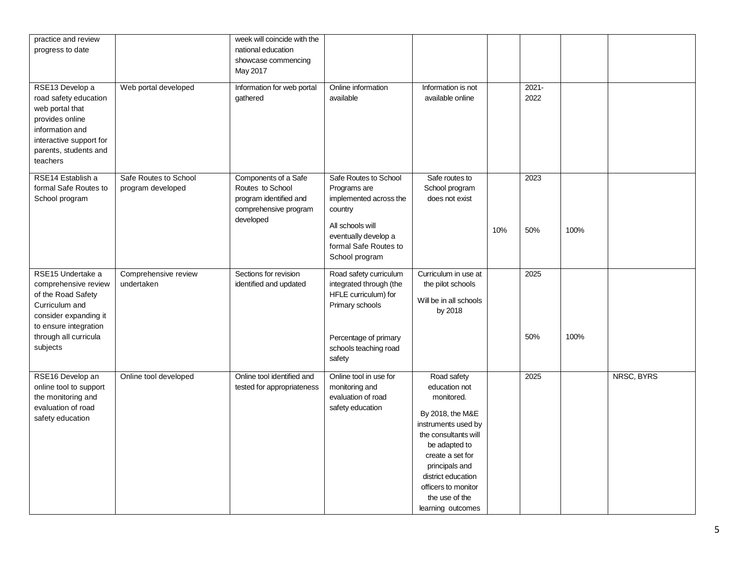| practice and review<br>progress to date<br>RSE13 Develop a<br>road safety education<br>web portal that                                                                   | Web portal developed                       | week will coincide with the<br>national education<br>showcase commencing<br>May 2017<br>Information for web portal<br>gathered | Online information<br>available                                                                                                                                   | Information is not<br>available online                                                                                                                                                                                                                   |     | $2021 -$<br>2022 |      |            |
|--------------------------------------------------------------------------------------------------------------------------------------------------------------------------|--------------------------------------------|--------------------------------------------------------------------------------------------------------------------------------|-------------------------------------------------------------------------------------------------------------------------------------------------------------------|----------------------------------------------------------------------------------------------------------------------------------------------------------------------------------------------------------------------------------------------------------|-----|------------------|------|------------|
| provides online<br>information and<br>interactive support for<br>parents, students and<br>teachers                                                                       |                                            |                                                                                                                                |                                                                                                                                                                   |                                                                                                                                                                                                                                                          |     |                  |      |            |
| RSE14 Establish a<br>formal Safe Routes to<br>School program                                                                                                             | Safe Routes to School<br>program developed | Components of a Safe<br>Routes to School<br>program identified and<br>comprehensive program<br>developed                       | Safe Routes to School<br>Programs are<br>implemented across the<br>country<br>All schools will<br>eventually develop a<br>formal Safe Routes to<br>School program | Safe routes to<br>School program<br>does not exist                                                                                                                                                                                                       | 10% | 2023<br>50%      | 100% |            |
| RSE15 Undertake a<br>comprehensive review<br>of the Road Safety<br>Curriculum and<br>consider expanding it<br>to ensure integration<br>through all curricula<br>subjects | Comprehensive review<br>undertaken         | Sections for revision<br>identified and updated                                                                                | Road safety curriculum<br>integrated through (the<br>HFLE curriculum) for<br>Primary schools<br>Percentage of primary<br>schools teaching road<br>safety          | Curriculum in use at<br>the pilot schools<br>Will be in all schools<br>by 2018                                                                                                                                                                           |     | 2025<br>50%      | 100% |            |
| RSE16 Develop an<br>online tool to support<br>the monitoring and<br>evaluation of road<br>safety education                                                               | Online tool developed                      | Online tool identified and<br>tested for appropriateness                                                                       | Online tool in use for<br>monitoring and<br>evaluation of road<br>safety education                                                                                | Road safety<br>education not<br>monitored.<br>By 2018, the M&E<br>instruments used by<br>the consultants will<br>be adapted to<br>create a set for<br>principals and<br>district education<br>officers to monitor<br>the use of the<br>learning outcomes |     | 2025             |      | NRSC, BYRS |